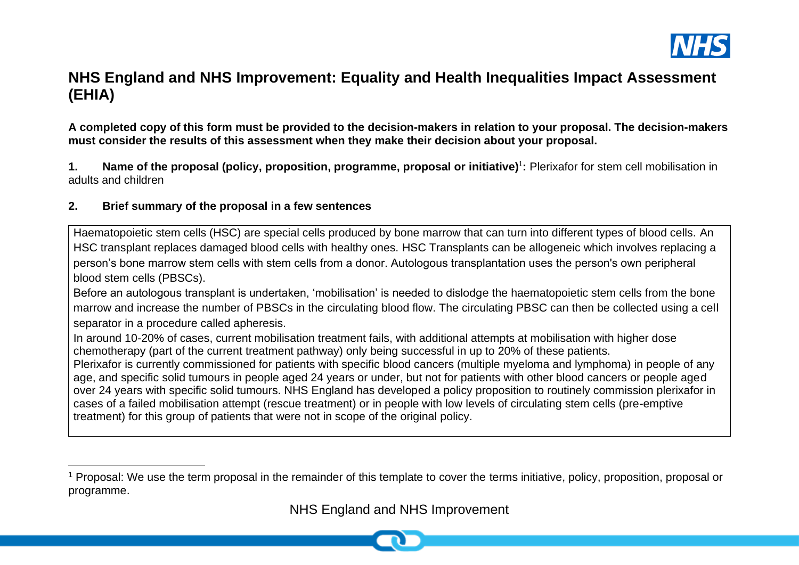

# **NHS England and NHS Improvement: Equality and Health Inequalities Impact Assessment (EHIA)**

**A completed copy of this form must be provided to the decision-makers in relation to your proposal. The decision-makers must consider the results of this assessment when they make their decision about your proposal.**

**1. Name of the proposal (policy, proposition, programme, proposal or initiative)**<sup>1</sup> **:** Plerixafor for stem cell mobilisation in adults and children

## **2. Brief summary of the proposal in a few sentences**

Haematopoietic stem cells (HSC) are special cells produced by bone marrow that can turn into different types of blood cells. An HSC transplant replaces damaged blood cells with healthy ones. HSC Transplants can be allogeneic which involves replacing a person's bone marrow stem cells with stem cells from a donor. Autologous transplantation uses the person's own peripheral blood stem cells (PBSCs).

Before an autologous transplant is undertaken, 'mobilisation' is needed to dislodge the haematopoietic stem cells from the bone marrow and increase the number of PBSCs in the circulating blood flow. The circulating PBSC can then be collected using a cell separator in a procedure called apheresis.

In around 10-20% of cases, current mobilisation treatment fails, with additional attempts at mobilisation with higher dose chemotherapy (part of the current treatment pathway) only being successful in up to 20% of these patients.

Plerixafor is currently commissioned for patients with specific blood cancers (multiple myeloma and lymphoma) in people of any age, and specific solid tumours in people aged 24 years or under, but not for patients with other blood cancers or people aged over 24 years with specific solid tumours. NHS England has developed a policy proposition to routinely commission plerixafor in cases of a failed mobilisation attempt (rescue treatment) or in people with low levels of circulating stem cells (pre-emptive treatment) for this group of patients that were not in scope of the original policy.

<sup>&</sup>lt;sup>1</sup> Proposal: We use the term proposal in the remainder of this template to cover the terms initiative, policy, proposition, proposal or programme.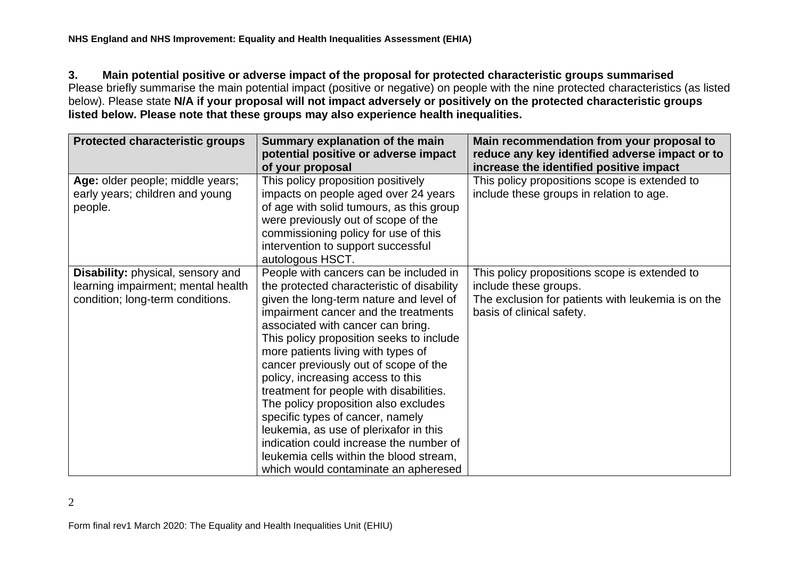**3. Main potential positive or adverse impact of the proposal for protected characteristic groups summarised**

Please briefly summarise the main potential impact (positive or negative) on people with the nine protected characteristics (as listed below). Please state **N/A if your proposal will not impact adversely or positively on the protected characteristic groups listed below. Please note that these groups may also experience health inequalities.**

| <b>Protected characteristic groups</b> | Summary explanation of the main<br>potential positive or adverse impact<br>of your proposal | Main recommendation from your proposal to<br>reduce any key identified adverse impact or to<br>increase the identified positive impact |
|----------------------------------------|---------------------------------------------------------------------------------------------|----------------------------------------------------------------------------------------------------------------------------------------|
| Age: older people; middle years;       | This policy proposition positively                                                          | This policy propositions scope is extended to                                                                                          |
| early years; children and young        | impacts on people aged over 24 years                                                        | include these groups in relation to age.                                                                                               |
| people.                                | of age with solid tumours, as this group                                                    |                                                                                                                                        |
|                                        | were previously out of scope of the                                                         |                                                                                                                                        |
|                                        | commissioning policy for use of this                                                        |                                                                                                                                        |
|                                        | intervention to support successful                                                          |                                                                                                                                        |
|                                        | autologous HSCT.                                                                            |                                                                                                                                        |
| Disability: physical, sensory and      | People with cancers can be included in                                                      | This policy propositions scope is extended to                                                                                          |
| learning impairment; mental health     | the protected characteristic of disability                                                  | include these groups.                                                                                                                  |
| condition; long-term conditions.       | given the long-term nature and level of                                                     | The exclusion for patients with leukemia is on the                                                                                     |
|                                        | impairment cancer and the treatments                                                        | basis of clinical safety.                                                                                                              |
|                                        | associated with cancer can bring.                                                           |                                                                                                                                        |
|                                        | This policy proposition seeks to include                                                    |                                                                                                                                        |
|                                        | more patients living with types of                                                          |                                                                                                                                        |
|                                        | cancer previously out of scope of the                                                       |                                                                                                                                        |
|                                        | policy, increasing access to this                                                           |                                                                                                                                        |
|                                        | treatment for people with disabilities.                                                     |                                                                                                                                        |
|                                        | The policy proposition also excludes                                                        |                                                                                                                                        |
|                                        | specific types of cancer, namely                                                            |                                                                                                                                        |
|                                        | leukemia, as use of plerixafor in this                                                      |                                                                                                                                        |
|                                        | indication could increase the number of                                                     |                                                                                                                                        |
|                                        | leukemia cells within the blood stream,                                                     |                                                                                                                                        |
|                                        | which would contaminate an apheresed                                                        |                                                                                                                                        |

2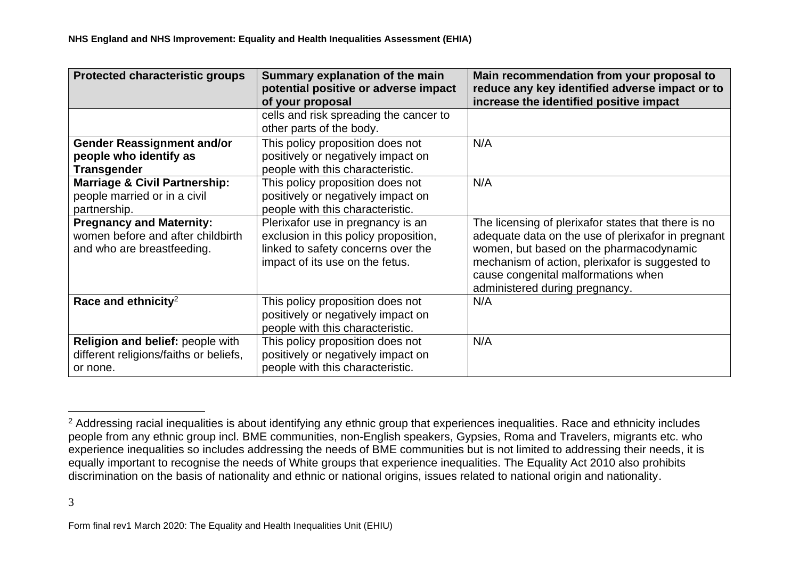| <b>Protected characteristic groups</b>                                                             | Summary explanation of the main<br>potential positive or adverse impact<br>of your proposal                                                         | Main recommendation from your proposal to<br>reduce any key identified adverse impact or to<br>increase the identified positive impact                                                                                                                                           |
|----------------------------------------------------------------------------------------------------|-----------------------------------------------------------------------------------------------------------------------------------------------------|----------------------------------------------------------------------------------------------------------------------------------------------------------------------------------------------------------------------------------------------------------------------------------|
|                                                                                                    | cells and risk spreading the cancer to<br>other parts of the body.                                                                                  |                                                                                                                                                                                                                                                                                  |
| <b>Gender Reassignment and/or</b><br>people who identify as<br><b>Transgender</b>                  | This policy proposition does not<br>positively or negatively impact on<br>people with this characteristic.                                          | N/A                                                                                                                                                                                                                                                                              |
| <b>Marriage &amp; Civil Partnership:</b><br>people married or in a civil<br>partnership.           | This policy proposition does not<br>positively or negatively impact on<br>people with this characteristic.                                          | N/A                                                                                                                                                                                                                                                                              |
| <b>Pregnancy and Maternity:</b><br>women before and after childbirth<br>and who are breastfeeding. | Plerixafor use in pregnancy is an<br>exclusion in this policy proposition,<br>linked to safety concerns over the<br>impact of its use on the fetus. | The licensing of plerixafor states that there is no<br>adequate data on the use of plerixafor in pregnant<br>women, but based on the pharmacodynamic<br>mechanism of action, plerixafor is suggested to<br>cause congenital malformations when<br>administered during pregnancy. |
| Race and ethnicity <sup>2</sup>                                                                    | This policy proposition does not<br>positively or negatively impact on<br>people with this characteristic.                                          | N/A                                                                                                                                                                                                                                                                              |
| Religion and belief: people with<br>different religions/faiths or beliefs,<br>or none.             | This policy proposition does not<br>positively or negatively impact on<br>people with this characteristic.                                          | N/A                                                                                                                                                                                                                                                                              |

<sup>&</sup>lt;sup>2</sup> Addressing racial inequalities is about identifying any ethnic group that experiences inequalities. Race and ethnicity includes people from any ethnic group incl. BME communities, non-English speakers, Gypsies, Roma and Travelers, migrants etc. who experience inequalities so includes addressing the needs of BME communities but is not limited to addressing their needs, it is equally important to recognise the needs of White groups that experience inequalities. The Equality Act 2010 also prohibits discrimination on the basis of nationality and ethnic or national origins, issues related to national origin and nationality.

<sup>3</sup> 

Form final rev1 March 2020: The Equality and Health Inequalities Unit (EHIU)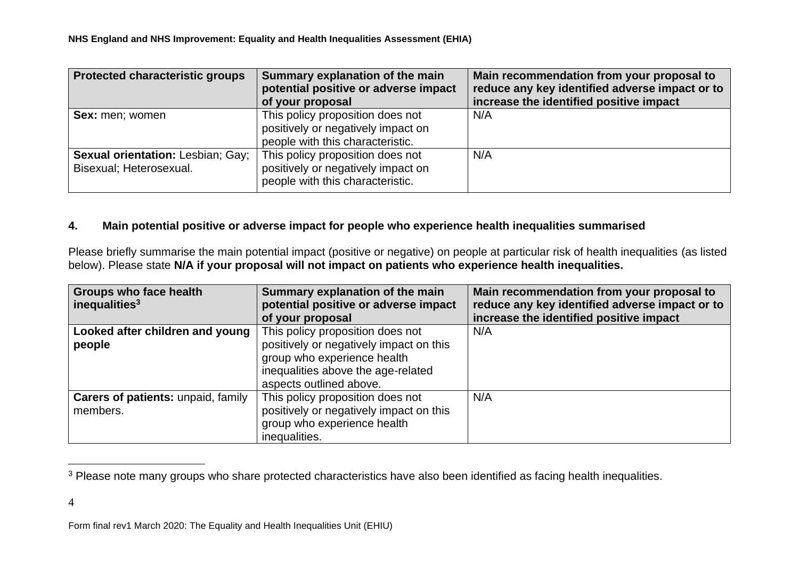| <b>Protected characteristic groups</b>                              | Summary explanation of the main<br>potential positive or adverse impact<br>of your proposal                | Main recommendation from your proposal to<br>reduce any key identified adverse impact or to<br>increase the identified positive impact |
|---------------------------------------------------------------------|------------------------------------------------------------------------------------------------------------|----------------------------------------------------------------------------------------------------------------------------------------|
| <b>Sex:</b> men; women                                              | This policy proposition does not<br>positively or negatively impact on<br>people with this characteristic. | N/A                                                                                                                                    |
| <b>Sexual orientation: Lesbian; Gay;</b><br>Bisexual; Heterosexual. | This policy proposition does not<br>positively or negatively impact on<br>people with this characteristic. | N/A                                                                                                                                    |

#### **4. Main potential positive or adverse impact for people who experience health inequalities summarised**

Please briefly summarise the main potential impact (positive or negative) on people at particular risk of health inequalities (as listed below). Please state **N/A if your proposal will not impact on patients who experience health inequalities.** 

| Groups who face health                    | Summary explanation of the main         | Main recommendation from your proposal to      |
|-------------------------------------------|-----------------------------------------|------------------------------------------------|
| inequalities $3$                          | potential positive or adverse impact    | reduce any key identified adverse impact or to |
|                                           | of your proposal                        | increase the identified positive impact        |
| Looked after children and young           | This policy proposition does not        | N/A                                            |
| people                                    | positively or negatively impact on this |                                                |
|                                           | group who experience health             |                                                |
|                                           | inequalities above the age-related      |                                                |
|                                           | aspects outlined above.                 |                                                |
| <b>Carers of patients: unpaid, family</b> | This policy proposition does not        | N/A                                            |
| members.                                  | positively or negatively impact on this |                                                |
|                                           | group who experience health             |                                                |
|                                           | inequalities.                           |                                                |

<sup>&</sup>lt;sup>3</sup> Please note many groups who share protected characteristics have also been identified as facing health inequalities.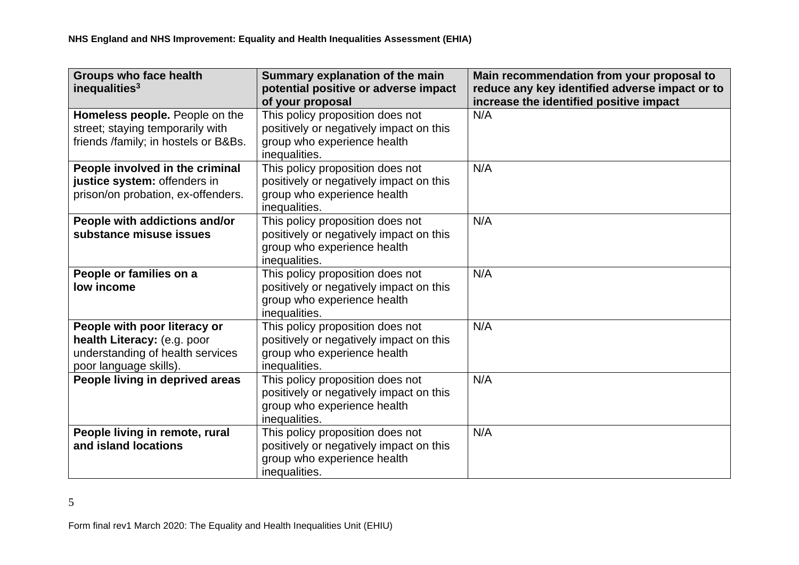| <b>Groups who face health</b><br>inequalities <sup>3</sup>                                                                | Summary explanation of the main<br>potential positive or adverse impact<br>of your proposal                                 | Main recommendation from your proposal to<br>reduce any key identified adverse impact or to<br>increase the identified positive impact |
|---------------------------------------------------------------------------------------------------------------------------|-----------------------------------------------------------------------------------------------------------------------------|----------------------------------------------------------------------------------------------------------------------------------------|
| Homeless people. People on the<br>street; staying temporarily with<br>friends /family; in hostels or B&Bs.                | This policy proposition does not<br>positively or negatively impact on this<br>group who experience health<br>inequalities. | N/A                                                                                                                                    |
| People involved in the criminal<br>justice system: offenders in<br>prison/on probation, ex-offenders.                     | This policy proposition does not<br>positively or negatively impact on this<br>group who experience health<br>inequalities. | N/A                                                                                                                                    |
| People with addictions and/or<br>substance misuse issues                                                                  | This policy proposition does not<br>positively or negatively impact on this<br>group who experience health<br>inequalities. | N/A                                                                                                                                    |
| People or families on a<br>low income                                                                                     | This policy proposition does not<br>positively or negatively impact on this<br>group who experience health<br>inequalities. | N/A                                                                                                                                    |
| People with poor literacy or<br>health Literacy: (e.g. poor<br>understanding of health services<br>poor language skills). | This policy proposition does not<br>positively or negatively impact on this<br>group who experience health<br>inequalities. | N/A                                                                                                                                    |
| People living in deprived areas                                                                                           | This policy proposition does not<br>positively or negatively impact on this<br>group who experience health<br>inequalities. | N/A                                                                                                                                    |
| People living in remote, rural<br>and island locations                                                                    | This policy proposition does not<br>positively or negatively impact on this<br>group who experience health<br>inequalities. | N/A                                                                                                                                    |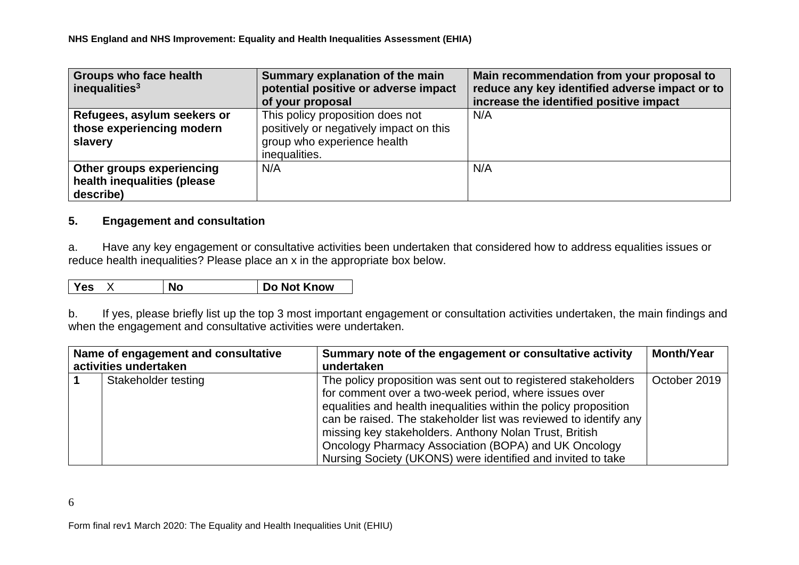| Groups who face health<br>inequalities $3$                            | Summary explanation of the main<br>potential positive or adverse impact<br>of your proposal                                 | Main recommendation from your proposal to<br>reduce any key identified adverse impact or to<br>increase the identified positive impact |
|-----------------------------------------------------------------------|-----------------------------------------------------------------------------------------------------------------------------|----------------------------------------------------------------------------------------------------------------------------------------|
| Refugees, asylum seekers or<br>those experiencing modern<br>slavery   | This policy proposition does not<br>positively or negatively impact on this<br>group who experience health<br>inequalities. | N/A                                                                                                                                    |
| Other groups experiencing<br>health inequalities (please<br>describe) | N/A                                                                                                                         | N/A                                                                                                                                    |

## **5. Engagement and consultation**

a. Have any key engagement or consultative activities been undertaken that considered how to address equalities issues or reduce health inequalities? Please place an x in the appropriate box below.

| res | NO |  | Know<br><b>Not</b><br>סע |
|-----|----|--|--------------------------|
|-----|----|--|--------------------------|

b. If yes, please briefly list up the top 3 most important engagement or consultation activities undertaken, the main findings and when the engagement and consultative activities were undertaken.

| Name of engagement and consultative | Summary note of the engagement or consultative activity                                                                                                                                                                                                                                                                                                                                                                                          | <b>Month/Year</b> |
|-------------------------------------|--------------------------------------------------------------------------------------------------------------------------------------------------------------------------------------------------------------------------------------------------------------------------------------------------------------------------------------------------------------------------------------------------------------------------------------------------|-------------------|
| activities undertaken               | undertaken                                                                                                                                                                                                                                                                                                                                                                                                                                       |                   |
| Stakeholder testing                 | The policy proposition was sent out to registered stakeholders<br>for comment over a two-week period, where issues over<br>equalities and health inequalities within the policy proposition<br>can be raised. The stakeholder list was reviewed to identify any<br>missing key stakeholders. Anthony Nolan Trust, British<br>Oncology Pharmacy Association (BOPA) and UK Oncology<br>Nursing Society (UKONS) were identified and invited to take | October 2019      |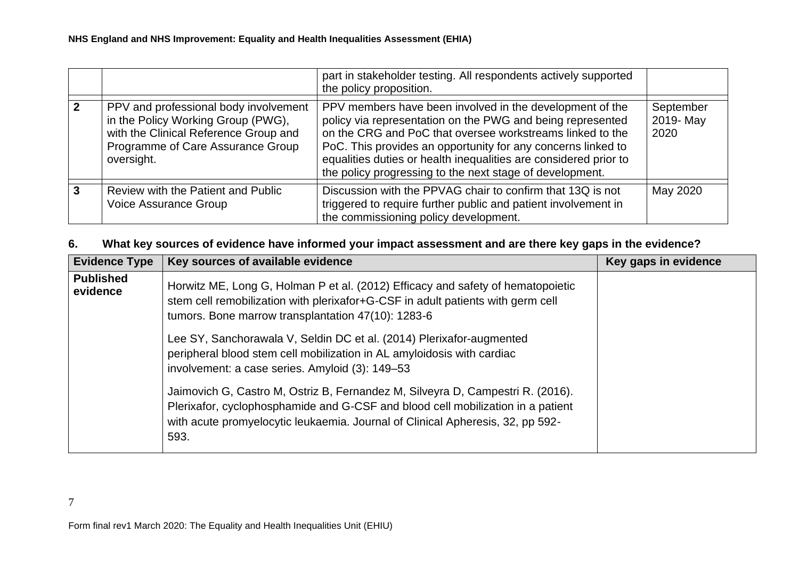|                                                                                                                                                                         | part in stakeholder testing. All respondents actively supported<br>the policy proposition.                                                                                                                                                                                                                                                                                          |                                |
|-------------------------------------------------------------------------------------------------------------------------------------------------------------------------|-------------------------------------------------------------------------------------------------------------------------------------------------------------------------------------------------------------------------------------------------------------------------------------------------------------------------------------------------------------------------------------|--------------------------------|
| PPV and professional body involvement<br>in the Policy Working Group (PWG),<br>with the Clinical Reference Group and<br>Programme of Care Assurance Group<br>oversight. | PPV members have been involved in the development of the<br>policy via representation on the PWG and being represented<br>on the CRG and PoC that oversee workstreams linked to the<br>PoC. This provides an opportunity for any concerns linked to<br>equalities duties or health inequalities are considered prior to<br>the policy progressing to the next stage of development. | September<br>2019- May<br>2020 |
| Review with the Patient and Public<br>Voice Assurance Group                                                                                                             | Discussion with the PPVAG chair to confirm that 13Q is not<br>triggered to require further public and patient involvement in<br>the commissioning policy development.                                                                                                                                                                                                               | May 2020                       |

# **6. What key sources of evidence have informed your impact assessment and are there key gaps in the evidence?**

| <b>Evidence Type</b>         | Key sources of available evidence                                                                                                                                                                                                                           | Key gaps in evidence |
|------------------------------|-------------------------------------------------------------------------------------------------------------------------------------------------------------------------------------------------------------------------------------------------------------|----------------------|
| <b>Published</b><br>evidence | Horwitz ME, Long G, Holman P et al. (2012) Efficacy and safety of hematopoietic<br>stem cell remobilization with plerixafor+G-CSF in adult patients with germ cell<br>tumors. Bone marrow transplantation 47(10): 1283-6                                    |                      |
|                              | Lee SY, Sanchorawala V, Seldin DC et al. (2014) Plerixafor-augmented<br>peripheral blood stem cell mobilization in AL amyloidosis with cardiac<br>involvement: a case series. Amyloid (3): 149–53                                                           |                      |
|                              | Jaimovich G, Castro M, Ostriz B, Fernandez M, Silveyra D, Campestri R. (2016).<br>Plerixafor, cyclophosphamide and G-CSF and blood cell mobilization in a patient<br>with acute promyelocytic leukaemia. Journal of Clinical Apheresis, 32, pp 592-<br>593. |                      |

7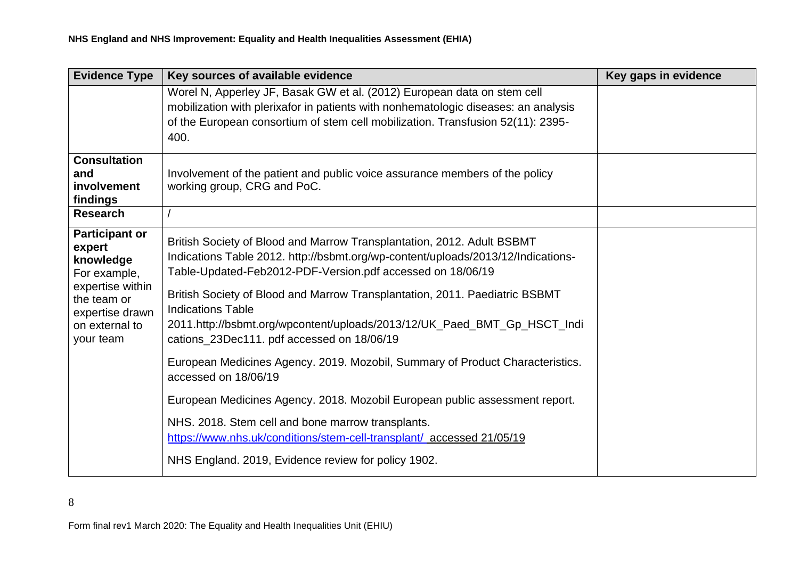| <b>Evidence Type</b>                                                                                                                              | Key sources of available evidence                                                                                                                                                                                                                                                                                                                                                                                                                                                                                                                                                                                                                                                                                                                                                                                                          | Key gaps in evidence |
|---------------------------------------------------------------------------------------------------------------------------------------------------|--------------------------------------------------------------------------------------------------------------------------------------------------------------------------------------------------------------------------------------------------------------------------------------------------------------------------------------------------------------------------------------------------------------------------------------------------------------------------------------------------------------------------------------------------------------------------------------------------------------------------------------------------------------------------------------------------------------------------------------------------------------------------------------------------------------------------------------------|----------------------|
|                                                                                                                                                   | Worel N, Apperley JF, Basak GW et al. (2012) European data on stem cell<br>mobilization with plerixafor in patients with nonhematologic diseases: an analysis<br>of the European consortium of stem cell mobilization. Transfusion 52(11): 2395-<br>400.                                                                                                                                                                                                                                                                                                                                                                                                                                                                                                                                                                                   |                      |
| <b>Consultation</b><br>and<br>involvement<br>findings<br><b>Research</b>                                                                          | Involvement of the patient and public voice assurance members of the policy<br>working group, CRG and PoC.                                                                                                                                                                                                                                                                                                                                                                                                                                                                                                                                                                                                                                                                                                                                 |                      |
| <b>Participant or</b><br>expert<br>knowledge<br>For example,<br>expertise within<br>the team or<br>expertise drawn<br>on external to<br>your team | British Society of Blood and Marrow Transplantation, 2012. Adult BSBMT<br>Indications Table 2012. http://bsbmt.org/wp-content/uploads/2013/12/Indications-<br>Table-Updated-Feb2012-PDF-Version.pdf accessed on 18/06/19<br>British Society of Blood and Marrow Transplantation, 2011. Paediatric BSBMT<br><b>Indications Table</b><br>2011.http://bsbmt.org/wpcontent/uploads/2013/12/UK_Paed_BMT_Gp_HSCT_Indi<br>cations_23Dec111. pdf accessed on 18/06/19<br>European Medicines Agency. 2019. Mozobil, Summary of Product Characteristics.<br>accessed on 18/06/19<br>European Medicines Agency. 2018. Mozobil European public assessment report.<br>NHS. 2018. Stem cell and bone marrow transplants.<br>https://www.nhs.uk/conditions/stem-cell-transplant/ accessed 21/05/19<br>NHS England. 2019, Evidence review for policy 1902. |                      |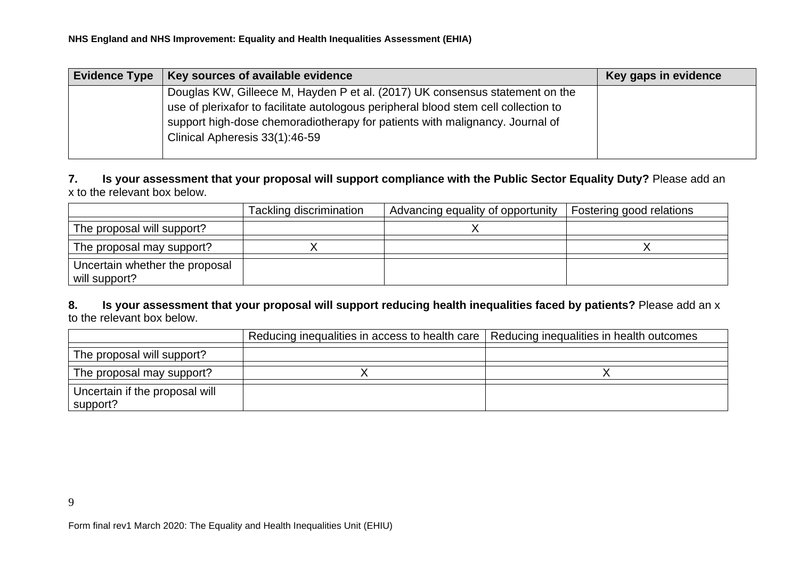| <b>Evidence Type</b> | Key sources of available evidence                                                   | Key gaps in evidence |
|----------------------|-------------------------------------------------------------------------------------|----------------------|
|                      | Douglas KW, Gilleece M, Hayden P et al. (2017) UK consensus statement on the        |                      |
|                      | use of plerixafor to facilitate autologous peripheral blood stem cell collection to |                      |
|                      | support high-dose chemoradiotherapy for patients with malignancy. Journal of        |                      |
|                      | Clinical Apheresis 33(1):46-59                                                      |                      |
|                      |                                                                                     |                      |

**7. Is your assessment that your proposal will support compliance with the Public Sector Equality Duty?** Please add an x to the relevant box below.

|                                                 | Tackling discrimination | Advancing equality of opportunity | Fostering good relations |
|-------------------------------------------------|-------------------------|-----------------------------------|--------------------------|
| The proposal will support?                      |                         |                                   |                          |
| The proposal may support?                       |                         |                                   |                          |
| Uncertain whether the proposal<br>will support? |                         |                                   |                          |

**8. Is your assessment that your proposal will support reducing health inequalities faced by patients?** Please add an x to the relevant box below.

|                                            | Reducing inequalities in access to health care   Reducing inequalities in health outcomes |  |
|--------------------------------------------|-------------------------------------------------------------------------------------------|--|
| The proposal will support?                 |                                                                                           |  |
| The proposal may support?                  |                                                                                           |  |
| Uncertain if the proposal will<br>support? |                                                                                           |  |